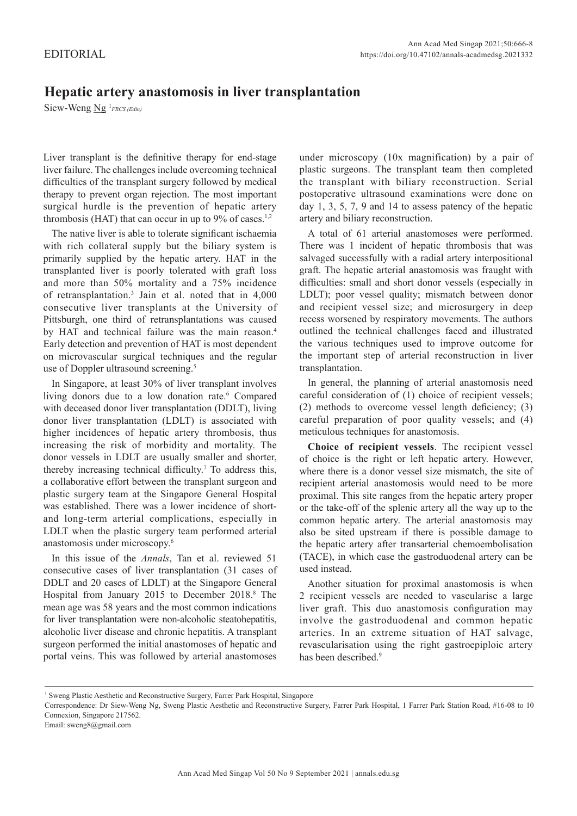## **Hepatic artery anastomosis in liver transplantation**

Siew-Weng Ng<sup>1</sup>FRCS (Edin)

Liver transplant is the definitive therapy for end-stage liver failure. The challenges include overcoming technical difficulties of the transplant surgery followed by medical therapy to prevent organ rejection. The most important surgical hurdle is the prevention of hepatic artery thrombosis (HAT) that can occur in up to  $9\%$  of cases.<sup>1,2</sup>

The native liver is able to tolerate significant ischaemia with rich collateral supply but the biliary system is primarily supplied by the hepatic artery. HAT in the transplanted liver is poorly tolerated with graft loss and more than 50% mortality and a 75% incidence of retransplantation.<sup>3</sup> Jain et al. noted that in 4,000 consecutive liver transplants at the University of Pittsburgh, one third of retransplantations was caused by HAT and technical failure was the main reason.<sup>4</sup> Early detection and prevention of HAT is most dependent on microvascular surgical techniques and the regular use of Doppler ultrasound screening.<sup>5</sup>

In Singapore, at least 30% of liver transplant involves living donors due to a low donation rate.<sup>6</sup> Compared with deceased donor liver transplantation (DDLT), living donor liver transplantation (LDLT) is associated with higher incidences of hepatic artery thrombosis, thus increasing the risk of morbidity and mortality. The donor vessels in LDLT are usually smaller and shorter, thereby increasing technical difficulty.<sup>7</sup> To address this, a collaborative effort between the transplant surgeon and plastic surgery team at the Singapore General Hospital was established. There was a lower incidence of shortand long-term arterial complications, especially in LDLT when the plastic surgery team performed arterial anastomosis under microscopy.6

In this issue of the *Annals*, Tan et al. reviewed 51 consecutive cases of liver transplantation (31 cases of DDLT and 20 cases of LDLT) at the Singapore General Hospital from January 2015 to December 2018.<sup>8</sup> The mean age was 58 years and the most common indications for liver transplantation were non-alcoholic steatohepatitis, alcoholic liver disease and chronic hepatitis. A transplant surgeon performed the initial anastomoses of hepatic and portal veins. This was followed by arterial anastomoses

under microscopy (10x magnification) by a pair of plastic surgeons. The transplant team then completed the transplant with biliary reconstruction. Serial postoperative ultrasound examinations were done on day 1, 3, 5, 7, 9 and 14 to assess patency of the hepatic artery and biliary reconstruction.

A total of 61 arterial anastomoses were performed. There was 1 incident of hepatic thrombosis that was salvaged successfully with a radial artery interpositional graft. The hepatic arterial anastomosis was fraught with difficulties: small and short donor vessels (especially in LDLT); poor vessel quality; mismatch between donor and recipient vessel size; and microsurgery in deep recess worsened by respiratory movements. The authors outlined the technical challenges faced and illustrated the various techniques used to improve outcome for the important step of arterial reconstruction in liver transplantation.

In general, the planning of arterial anastomosis need careful consideration of (1) choice of recipient vessels; (2) methods to overcome vessel length deficiency; (3) careful preparation of poor quality vessels; and (4) meticulous techniques for anastomosis.

**Choice of recipient vessels**. The recipient vessel of choice is the right or left hepatic artery. However, where there is a donor vessel size mismatch, the site of recipient arterial anastomosis would need to be more proximal. This site ranges from the hepatic artery proper or the take-off of the splenic artery all the way up to the common hepatic artery. The arterial anastomosis may also be sited upstream if there is possible damage to the hepatic artery after transarterial chemoembolisation (TACE), in which case the gastroduodenal artery can be used instead.

Another situation for proximal anastomosis is when 2 recipient vessels are needed to vascularise a large liver graft. This duo anastomosis configuration may involve the gastroduodenal and common hepatic arteries. In an extreme situation of HAT salvage, revascularisation using the right gastroepiploic artery has been described.<sup>9</sup>

<sup>&</sup>lt;sup>1</sup> Sweng Plastic Aesthetic and Reconstructive Surgery, Farrer Park Hospital, Singapore

Correspondence: Dr Siew-Weng Ng, Sweng Plastic Aesthetic and Reconstructive Surgery, Farrer Park Hospital, 1 Farrer Park Station Road, #16-08 to 10 Connexion, Singapore 217562.

Email: sweng8@gmail.com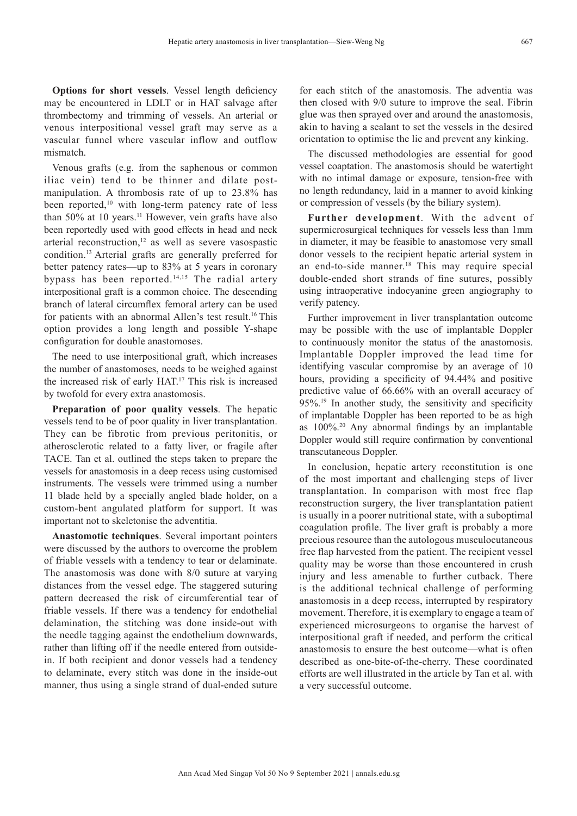**Options for short vessels**. Vessel length deficiency may be encountered in LDLT or in HAT salvage after thrombectomy and trimming of vessels. An arterial or venous interpositional vessel graft may serve as a vascular funnel where vascular inflow and outflow mismatch.

Venous grafts (e.g. from the saphenous or common iliac vein) tend to be thinner and dilate postmanipulation. A thrombosis rate of up to 23.8% has been reported,<sup>10</sup> with long-term patency rate of less than 50% at 10 years.<sup>11</sup> However, vein grafts have also been reportedly used with good effects in head and neck arterial reconstruction, $12$  as well as severe vasospastic condition.13 Arterial grafts are generally preferred for better patency rates—up to 83% at 5 years in coronary bypass has been reported.14,15 The radial artery interpositional graft is a common choice. The descending branch of lateral circumflex femoral artery can be used for patients with an abnormal Allen's test result.<sup>16</sup> This option provides a long length and possible Y-shape configuration for double anastomoses.

The need to use interpositional graft, which increases the number of anastomoses, needs to be weighed against the increased risk of early HAT.17 This risk is increased by twofold for every extra anastomosis.

**Preparation of poor quality vessels**. The hepatic vessels tend to be of poor quality in liver transplantation. They can be fibrotic from previous peritonitis, or atherosclerotic related to a fatty liver, or fragile after TACE. Tan et al. outlined the steps taken to prepare the vessels for anastomosis in a deep recess using customised instruments. The vessels were trimmed using a number 11 blade held by a specially angled blade holder, on a custom-bent angulated platform for support. It was important not to skeletonise the adventitia.

**Anastomotic techniques**. Several important pointers were discussed by the authors to overcome the problem of friable vessels with a tendency to tear or delaminate. The anastomosis was done with 8/0 suture at varying distances from the vessel edge. The staggered suturing pattern decreased the risk of circumferential tear of friable vessels. If there was a tendency for endothelial delamination, the stitching was done inside-out with the needle tagging against the endothelium downwards, rather than lifting off if the needle entered from outsidein. If both recipient and donor vessels had a tendency to delaminate, every stitch was done in the inside-out manner, thus using a single strand of dual-ended suture for each stitch of the anastomosis. The adventia was then closed with 9/0 suture to improve the seal. Fibrin glue was then sprayed over and around the anastomosis, akin to having a sealant to set the vessels in the desired orientation to optimise the lie and prevent any kinking.

The discussed methodologies are essential for good vessel coaptation. The anastomosis should be watertight with no intimal damage or exposure, tension-free with no length redundancy, laid in a manner to avoid kinking or compression of vessels (by the biliary system).

**Further development**. With the advent of supermicrosurgical techniques for vessels less than 1mm in diameter, it may be feasible to anastomose very small donor vessels to the recipient hepatic arterial system in an end-to-side manner.<sup>18</sup> This may require special double-ended short strands of fine sutures, possibly using intraoperative indocyanine green angiography to verify patency.

Further improvement in liver transplantation outcome may be possible with the use of implantable Doppler to continuously monitor the status of the anastomosis. Implantable Doppler improved the lead time for identifying vascular compromise by an average of 10 hours, providing a specificity of 94.44% and positive predictive value of 66.66% with an overall accuracy of 95%.19 In another study, the sensitivity and specificity of implantable Doppler has been reported to be as high as 100%.<sup>20</sup> Any abnormal findings by an implantable Doppler would still require confirmation by conventional transcutaneous Doppler.

In conclusion, hepatic artery reconstitution is one of the most important and challenging steps of liver transplantation. In comparison with most free flap reconstruction surgery, the liver transplantation patient is usually in a poorer nutritional state, with a suboptimal coagulation profile. The liver graft is probably a more precious resource than the autologous musculocutaneous free flap harvested from the patient. The recipient vessel quality may be worse than those encountered in crush injury and less amenable to further cutback. There is the additional technical challenge of performing anastomosis in a deep recess, interrupted by respiratory movement. Therefore, it is exemplary to engage a team of experienced microsurgeons to organise the harvest of interpositional graft if needed, and perform the critical anastomosis to ensure the best outcome—what is often described as one-bite-of-the-cherry. These coordinated efforts are well illustrated in the article by Tan et al. with a very successful outcome.